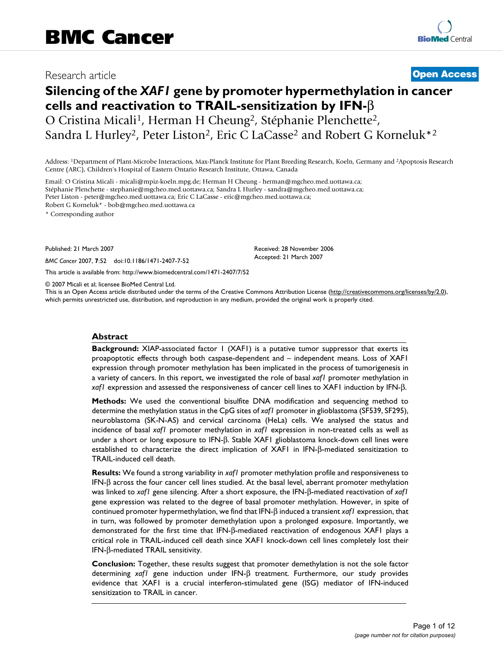## Research article **[Open Access](http://www.biomedcentral.com/info/about/charter/)**

# **Silencing of the** *XAF1* **gene by promoter hypermethylation in cancer cells and reactivation to TRAIL-sensitization by IFN-**β O Cristina Micali1, Herman H Cheung2, Stéphanie Plenchette2, Sandra L Hurley<sup>2</sup>, Peter Liston<sup>2</sup>, Eric C LaCasse<sup>2</sup> and Robert G Korneluk<sup>\*2</sup>

Address: 1Department of Plant-Microbe Interactions, Max-Planck Institute for Plant Breeding Research, Koeln, Germany and 2Apoptosis Research Centre (ARC), Children's Hospital of Eastern Ontario Research Institute, Ottawa, Canada

Email: O Cristina Micali - micali@mpiz-koeln.mpg.de; Herman H Cheung - herman@mgcheo.med.uottawa.ca; Stéphanie Plenchette - stephanie@mgcheo.med.uottawa.ca; Sandra L Hurley - sandra@mgcheo.med.uottawa.ca; Peter Liston - peter@mgcheo.med.uottawa.ca; Eric C LaCasse - eric@mgcheo.med.uottawa.ca; Robert G Korneluk\* - bob@mgcheo.med.uottawa.ca

\* Corresponding author

Published: 21 March 2007

*BMC Cancer* 2007, **7**:52 doi:10.1186/1471-2407-7-52

[This article is available from: http://www.biomedcentral.com/1471-2407/7/52](http://www.biomedcentral.com/1471-2407/7/52)

© 2007 Micali et al; licensee BioMed Central Ltd.

This is an Open Access article distributed under the terms of the Creative Commons Attribution License [\(http://creativecommons.org/licenses/by/2.0\)](http://creativecommons.org/licenses/by/2.0), which permits unrestricted use, distribution, and reproduction in any medium, provided the original work is properly cited.

Received: 28 November 2006 Accepted: 21 March 2007

#### **Abstract**

**Background:** XIAP-associated factor 1 (XAF1) is a putative tumor suppressor that exerts its proapoptotic effects through both caspase-dependent and – independent means. Loss of XAF1 expression through promoter methylation has been implicated in the process of tumorigenesis in a variety of cancers. In this report, we investigated the role of basal *xaf1* promoter methylation in *xaf1* expression and assessed the responsiveness of cancer cell lines to XAF1 induction by IFN-β.

**Methods:** We used the conventional bisulfite DNA modification and sequencing method to determine the methylation status in the CpG sites of *xaf1* promoter in glioblastoma (SF539, SF295), neuroblastoma (SK-N-AS) and cervical carcinoma (HeLa) cells. We analysed the status and incidence of basal *xaf1* promoter methylation in *xaf1* expression in non-treated cells as well as under a short or long exposure to IFN-β. Stable XAF1 glioblastoma knock-down cell lines were established to characterize the direct implication of XAF1 in IFN-β-mediated sensitization to TRAIL-induced cell death.

**Results:** We found a strong variability in *xaf1* promoter methylation profile and responsiveness to IFN-β across the four cancer cell lines studied. At the basal level, aberrant promoter methylation was linked to *xaf1* gene silencing. After a short exposure, the IFN-β-mediated reactivation of *xaf1* gene expression was related to the degree of basal promoter methylation. However, in spite of continued promoter hypermethylation, we find that IFN-β induced a transient *xaf1* expression, that in turn, was followed by promoter demethylation upon a prolonged exposure. Importantly, we demonstrated for the first time that IFN-β-mediated reactivation of endogenous XAF1 plays a critical role in TRAIL-induced cell death since XAF1 knock-down cell lines completely lost their IFN-β-mediated TRAIL sensitivity.

**Conclusion:** Together, these results suggest that promoter demethylation is not the sole factor determining *xaf1* gene induction under IFN-β treatment. Furthermore, our study provides evidence that XAF1 is a crucial interferon-stimulated gene (ISG) mediator of IFN-induced sensitization to TRAIL in cancer.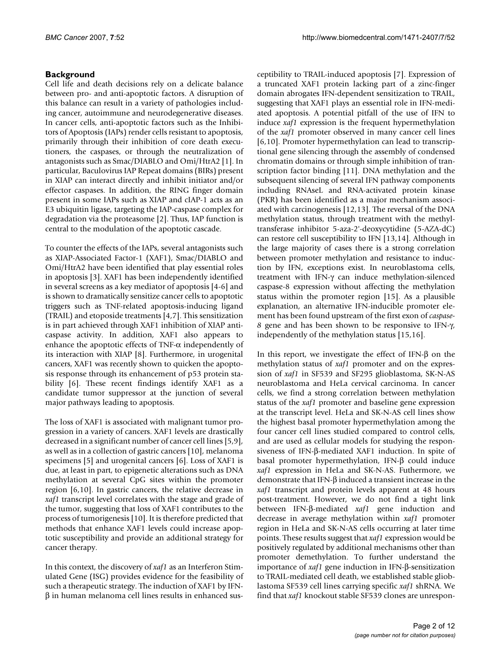## **Background**

Cell life and death decisions rely on a delicate balance between pro- and anti-apoptotic factors. A disruption of this balance can result in a variety of pathologies including cancer, autoimmune and neurodegenerative diseases. In cancer cells, anti-apoptotic factors such as the Inhibitors of Apoptosis (IAPs) render cells resistant to apoptosis, primarily through their inhibition of core death executioners, the caspases, or through the neutralization of antagonists such as Smac/DIABLO and Omi/HtrA2 [1]. In particular, Baculovirus IAP Repeat domains (BIRs) present in XIAP can interact directly and inhibit initiator and/or effector caspases. In addition, the RING finger domain present in some IAPs such as XIAP and cIAP-1 acts as an E3 ubiquitin ligase, targeting the IAP-caspase complex for degradation via the proteasome [2]. Thus, IAP function is central to the modulation of the apoptotic cascade.

To counter the effects of the IAPs, several antagonists such as XIAP-Associated Factor-1 (XAF1), Smac/DIABLO and Omi/HtrA2 have been identified that play essential roles in apoptosis [3]. XAF1 has been independently identified in several screens as a key mediator of apoptosis [4-6] and is shown to dramatically sensitize cancer cells to apoptotic triggers such as TNF-related apoptosis-inducing ligand (TRAIL) and etoposide treatments [4,7]. This sensitization is in part achieved through XAF1 inhibition of XIAP anticaspase activity. In addition, XAF1 also appears to enhance the apoptotic effects of TNF-α independently of its interaction with XIAP [8]. Furthermore, in urogenital cancers, XAF1 was recently shown to quicken the apoptosis response through its enhancement of p53 protein stability [6]. These recent findings identify XAF1 as a candidate tumor suppressor at the junction of several major pathways leading to apoptosis.

The loss of XAF1 is associated with malignant tumor progression in a variety of cancers. XAF1 levels are drastically decreased in a significant number of cancer cell lines [5,9], as well as in a collection of gastric cancers [10], melanoma specimens [5] and urogenital cancers [6]. Loss of XAF1 is due, at least in part, to epigenetic alterations such as DNA methylation at several CpG sites within the promoter region [6,10]. In gastric cancers, the relative decrease in *xaf1* transcript level correlates with the stage and grade of the tumor, suggesting that loss of XAF1 contributes to the process of tumorigenesis [10]. It is therefore predicted that methods that enhance XAF1 levels could increase apoptotic susceptibility and provide an additional strategy for cancer therapy.

In this context, the discovery of *xaf1* as an Interferon Stimulated Gene (ISG) provides evidence for the feasibility of such a therapeutic strategy. The induction of XAF1 by IFNβ in human melanoma cell lines results in enhanced susceptibility to TRAIL-induced apoptosis [7]. Expression of a truncated XAF1 protein lacking part of a zinc-finger domain abrogates IFN-dependent sensitization to TRAIL, suggesting that XAF1 plays an essential role in IFN-mediated apoptosis. A potential pitfall of the use of IFN to induce *xaf1* expression is the frequent hypermethylation of the *xaf1* promoter observed in many cancer cell lines [6,10]. Promoter hypermethylation can lead to transcriptional gene silencing through the assembly of condensed chromatin domains or through simple inhibition of transcription factor binding [11]. DNA methylation and the subsequent silencing of several IFN pathway components including RNAseL and RNA-activated protein kinase (PKR) has been identified as a major mechanism associated with carcinogenesis [12,13]. The reversal of the DNA methylation status, through treatment with the methyltransferase inhibitor 5-aza-2'-deoxycytidine (5-AZA-dC) can restore cell susceptibility to IFN [13,14]. Although in the large majority of cases there is a strong correlation between promoter methylation and resistance to induction by IFN, exceptions exist. In neuroblastoma cells, treatment with IFN-γ can induce methylation-silenced caspase-8 expression without affecting the methylation status within the promoter region [15]. As a plausible explanation, an alternative IFN-inducible promoter element has been found upstream of the first exon of *caspase-8* gene and has been shown to be responsive to IFN-γ, independently of the methylation status [15,16].

In this report, we investigate the effect of IFN-β on the methylation status of *xaf1* promoter and on the expression of *xaf1* in SF539 and SF295 glioblastoma, SK-N-AS neuroblastoma and HeLa cervical carcinoma. In cancer cells, we find a strong correlation between methylation status of the *xaf1* promoter and baseline gene expression at the transcript level. HeLa and SK-N-AS cell lines show the highest basal promoter hypermethylation among the four cancer cell lines studied compared to control cells, and are used as cellular models for studying the responsiveness of IFN-β-mediated XAF1 induction. In spite of basal promoter hypermethylation, IFN-β could induce *xaf1* expression in HeLa and SK-N-AS. Futhermore, we demonstrate that IFN-β induced a transient increase in the *xaf1* transcript and protein levels apparent at 48 hours post-treatment. However, we do not find a tight link between IFN-β-mediated *xaf1* gene induction and decrease in average methylation within *xaf1* promoter region in HeLa and SK-N-AS cells occurring at later time points. These results suggest that *xaf1* expression would be positively regulated by additional mechanisms other than promoter demethylation. To further understand the importance of *xaf1* gene induction in IFN-β-sensitization to TRAIL-mediated cell death, we established stable glioblastoma SF539 cell lines carrying specific *xaf1* shRNA. We find that *xaf1* knockout stable SF539 clones are unrespon-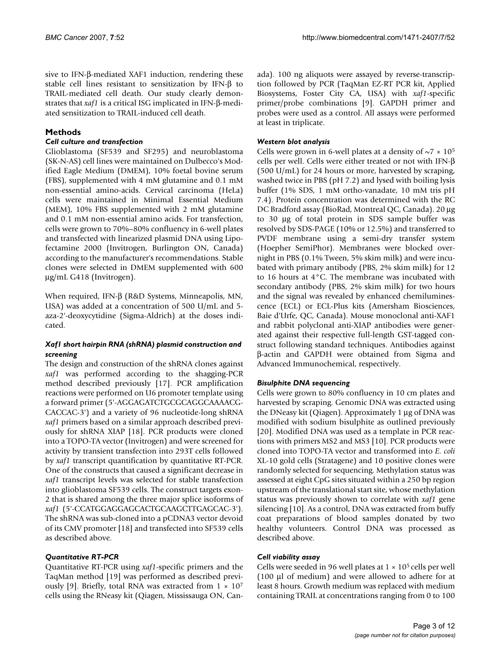sive to IFN-β-mediated XAF1 induction, rendering these stable cell lines resistant to sensitization by IFN-β to TRAIL-mediated cell death. Our study clearly demonstrates that *xaf1* is a critical ISG implicated in IFN-β-mediated sensitization to TRAIL-induced cell death.

## **Methods**

#### *Cell culture and transfection*

Glioblastoma (SF539 and SF295) and neuroblastoma (SK-N-AS) cell lines were maintained on Dulbecco's Modified Eagle Medium (DMEM), 10% foetal bovine serum (FBS), supplemented with 4 mM glutamine and 0.1 mM non-essential amino-acids. Cervical carcinoma (HeLa) cells were maintained in Minimal Essential Medium (MEM), 10% FBS supplemented with 2 mM glutamine and 0.1 mM non-essential amino acids. For transfection, cells were grown to 70%–80% confluency in 6-well plates and transfected with linearized plasmid DNA using Lipofectamine 2000 (Invitrogen, Burlington ON, Canada) according to the manufacturer's recommendations. Stable clones were selected in DMEM supplemented with 600 μg/mL G418 (Invitrogen).

When required, IFN-β (R&D Systems, Minneapolis, MN, USA) was added at a concentration of 500 U/mL and 5 aza-2'-deoxycytidine (Sigma-Aldrich) at the doses indicated.

#### *Xaf1 short hairpin RNA (shRNA) plasmid construction and screening*

The design and construction of the shRNA clones against *xaf1* was performed according to the shagging-PCR method described previously [17]. PCR amplification reactions were performed on U6 promoter template using a forward primer (5'-AGGAGATCTGCGCAGGCAAAACG-CACCAC-3') and a variety of 96 nucleotide-long shRNA *xaf1* primers based on a similar approach described previously for shRNA XIAP [18]. PCR products were cloned into a TOPO-TA vector (Invitrogen) and were screened for activity by transient transfection into 293T cells followed by *xaf1* transcript quantification by quantitative RT-PCR. One of the constructs that caused a significant decrease in *xaf1* transcript levels was selected for stable transfection into glioblastoma SF539 cells. The construct targets exon-2 that is shared among the three major splice isoforms of *xaf1* (5'-CCATGGAGGAGCACTGCAAGCTTGAGCAC-3'). The shRNA was sub-cloned into a pCDNA3 vector devoid of its CMV promoter [18] and transfected into SF539 cells as described above.

## *Quantitative RT-PCR*

Quantitative RT-PCR using *xaf1*-specific primers and the TaqMan method [19] was performed as described previously [9]. Briefly, total RNA was extracted from  $1 \times 10^7$ cells using the RNeasy kit (Qiagen, Mississauga ON, Canada). 100 ng aliquots were assayed by reverse-transcription followed by PCR (TaqMan EZ-RT PCR kit, Applied Biosystems, Foster City CA, USA) with *xaf1*-specific primer/probe combinations [9]. GAPDH primer and probes were used as a control. All assays were performed at least in triplicate.

## *Western blot analysis*

Cells were grown in 6-well plates at a density of  $\sim$ 7  $\times$  10<sup>5</sup> cells per well. Cells were either treated or not with IFN-β (500 U/mL) for 24 hours or more, harvested by scraping, washed twice in PBS (pH 7.2) and lysed with boiling lysis buffer (1% SDS, 1 mM ortho-vanadate, 10 mM tris pH 7.4). Protein concentration was determined with the RC DC Bradford assay (BioRad, Montreal QC, Canada). 20 μg to 30 μg of total protein in SDS sample buffer was resolved by SDS-PAGE (10% or 12.5%) and transferred to PVDF membrane using a semi-dry transfer system (Hoepher SemiPhor). Membranes were blocked overnight in PBS (0.1% Tween, 5% skim milk) and were incubated with primary antibody (PBS, 2% skim milk) for 12 to 16 hours at 4°C. The membrane was incubated with secondary antibody (PBS, 2% skim milk) for two hours and the signal was revealed by enhanced chemiluminescence (ECL) or ECL-Plus kits (Amersham Biosciences, Baie d'Urfe, QC, Canada). Mouse monoclonal anti-XAF1 and rabbit polyclonal anti-XIAP antibodies were generated against their respective full-length GST-tagged construct following standard techniques. Antibodies against β-actin and GAPDH were obtained from Sigma and Advanced Immunochemical, respectively.

## *Bisulphite DNA sequencing*

Cells were grown to 80% confluency in 10 cm plates and harvested by scraping. Genomic DNA was extracted using the DNeasy kit (Qiagen). Approximately 1 μg of DNA was modified with sodium bisulphite as outlined previously [20]. Modified DNA was used as a template in PCR reactions with primers MS2 and MS3 [10]. PCR products were cloned into TOPO-TA vector and transformed into *E. coli* XL-10 gold cells (Stratagene) and 10 positive clones were randomly selected for sequencing. Methylation status was assessed at eight CpG sites situated within a 250 bp region upstream of the translational start site, whose methylation status was previously shown to correlate with *xaf1* gene silencing [10]. As a control, DNA was extracted from buffy coat preparations of blood samples donated by two healthy volunteers. Control DNA was processed as described above.

#### *Cell viability assay*

Cells were seeded in 96 well plates at  $1 \times 10^5$  cells per well (100 μl of medium) and were allowed to adhere for at least 8 hours. Growth medium was replaced with medium containing TRAIL at concentrations ranging from 0 to 100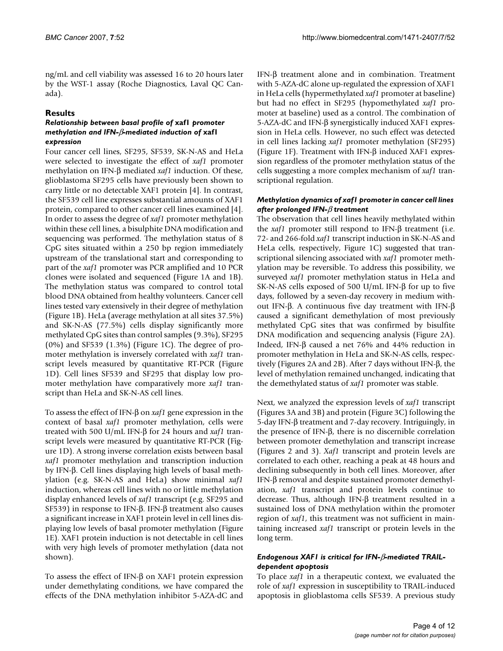ng/mL and cell viability was assessed 16 to 20 hours later by the WST-1 assay (Roche Diagnostics, Laval QC Canada).

## **Results**

#### *Relationship between basal profile of* **xaf1** *promoter methylation and IFN-*β*-mediated induction of* **xaf1**  *expression*

Four cancer cell lines, SF295, SF539, SK-N-AS and HeLa were selected to investigate the effect of *xaf1* promoter methylation on IFN-β mediated *xaf1* induction. Of these, glioblastoma SF295 cells have previously been shown to carry little or no detectable XAF1 protein [4]. In contrast, the SF539 cell line expresses substantial amounts of XAF1 protein, compared to other cancer cell lines examined [4]. In order to assess the degree of *xaf1* promoter methylation within these cell lines, a bisulphite DNA modification and sequencing was performed. The methylation status of 8 CpG sites situated within a 250 bp region immediately upstream of the translational start and corresponding to part of the *xaf1* promoter was PCR amplified and 10 PCR clones were isolated and sequenced (Figure 1A and 1B). The methylation status was compared to control total blood DNA obtained from healthy volunteers. Cancer cell lines tested vary extensively in their degree of methylation (Figure 1B). HeLa (average methylation at all sites 37.5%) and SK-N-AS (77.5%) cells display significantly more methylated CpG sites than control samples (9.3%), SF295  $(0\%)$  and SF539  $(1.3\%)$  (Figure 1C). The degree of promoter methylation is inversely correlated with *xaf1* transcript levels measured by quantitative RT-PCR (Figure 1D). Cell lines SF539 and SF295 that display low promoter methylation have comparatively more *xaf1* transcript than HeLa and SK-N-AS cell lines.

To assess the effect of IFN-β on *xaf1* gene expression in the context of basal *xaf1* promoter methylation, cells were treated with 500 U/mL IFN-β for 24 hours and *xaf1* transcript levels were measured by quantitative RT-PCR (Figure 1D). A strong inverse correlation exists between basal *xaf1* promoter methylation and transcription induction by IFN-β. Cell lines displaying high levels of basal methylation (e.g. SK-N-AS and HeLa) show minimal *xaf1* induction, whereas cell lines with no or little methylation display enhanced levels of *xaf1* transcript (e.g. SF295 and SF539) in response to IFN-β. IFN-β treatment also causes a significant increase in XAF1 protein level in cell lines displaying low levels of basal promoter methylation (Figure 1E). XAF1 protein induction is not detectable in cell lines with very high levels of promoter methylation (data not shown).

To assess the effect of IFN-β on XAF1 protein expression under demethylating conditions, we have compared the effects of the DNA methylation inhibitor 5-AZA-dC and

IFN-β treatment alone and in combination. Treatment with 5-AZA-dC alone up-regulated the expression of XAF1 in HeLa cells (hypermethylated *xaf1* promoter at baseline) but had no effect in SF295 (hypomethylated *xaf1* promoter at baseline) used as a control. The combination of 5-AZA-dC and IFN-β synergistically induced XAF1 expression in HeLa cells. However, no such effect was detected in cell lines lacking *xaf1* promoter methylation (SF295) (Figure 1F). Treatment with IFN-β induced XAF1 expression regardless of the promoter methylation status of the cells suggesting a more complex mechanism of *xaf1* transcriptional regulation.

#### *Methylation dynamics of xaf1 promoter in cancer cell lines after prolonged IFN-*β *treatment*

The observation that cell lines heavily methylated within the *xaf1* promoter still respond to IFN-β treatment (i.e. 72- and 266-fold *xaf1* transcript induction in SK-N-AS and HeLa cells, respectively, Figure 1C) suggested that transcriptional silencing associated with *xaf1* promoter methylation may be reversible. To address this possibility, we surveyed *xaf1* promoter methylation status in HeLa and SK-N-AS cells exposed of 500 U/mL IFN-β for up to five days, followed by a seven-day recovery in medium without IFN-β. A continuous five day treatment with IFN-β caused a significant demethylation of most previously methylated CpG sites that was confirmed by bisulfite DNA modification and sequencing analysis (Figure 2A). Indeed, IFN-β caused a net 76% and 44% reduction in promoter methylation in HeLa and SK-N-AS cells, respectively (Figures 2A and 2B). After 7 days without IFN-β, the level of methylation remained unchanged, indicating that the demethylated status of *xaf1* promoter was stable.

Next, we analyzed the expression levels of *xaf1* transcript (Figures 3A and 3B) and protein (Figure 3C) following the 5-day IFN-β treatment and 7-day recovery. Intriguingly, in the presence of IFN-β, there is no discernible correlation between promoter demethylation and transcript increase (Figures 2 and 3). *Xaf1* transcript and protein levels are correlated to each other, reaching a peak at 48 hours and declining subsequently in both cell lines. Moreover, after IFN-β removal and despite sustained promoter demethylation, *xaf1* transcript and protein levels continue to decrease. Thus, although IFN-β treatment resulted in a sustained loss of DNA methylation within the promoter region of *xaf1*, this treatment was not sufficient in maintaining increased *xaf1* transcript or protein levels in the long term.

### *Endogenous XAF1 is critical for IFN-*β*-mediated TRAILdependent apoptosis*

To place *xaf1* in a therapeutic context, we evaluated the role of *xaf1* expression in susceptibility to TRAIL-induced apoptosis in glioblastoma cells SF539. A previous study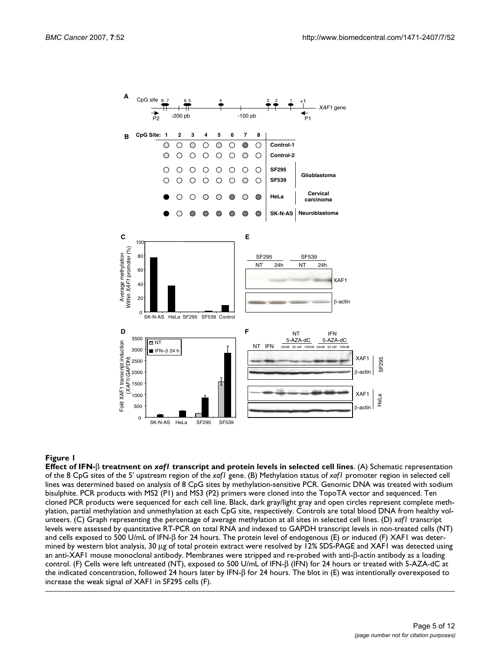

#### **Figure 1 Figure 1** *Figure 1 Bigure 1* **<b>C**

**Effect of IFN-**β **treatment on** *xaf1* **transcript and protein levels in selected cell lines**. (A) Schematic representation of the 8 CpG sites of the 5' upstream region of the *xaf1* gene. (B) Methylation status of *xaf1* promoter region in selected cell lines was determined based on analysis of 8 CpG sites by methylation-sensitive PCR. Genomic DNA was treated with sodium bisulphite. PCR products with MS2 (P1) and MS3 (P2) primers were cloned into the TopoTA vector and sequenced. Ten cloned PCR products were sequenced for each cell line. Black, dark gray/light gray and open circles represent complete methylation, partial methylation and unmethylation at each CpG site, respectively. Controls are total blood DNA from healthy volunteers. (C) Graph representing the percentage of average methylation at all sites in selected cell lines. (D) *xaf1* transcript levels were assessed by quantitative RT-PCR on total RNA and indexed to GAPDH transcript levels in non-treated cells (NT) and cells exposed to 500 U/mL of IFN-β for 24 hours. The protein level of endogenous (E) or induced (F) XAF1 was determined by western blot analysis, 30 μg of total protein extract were resolved by 12% SDS-PAGE and XAF1 was detected using an anti-XAF1 mouse monoclonal antibody. Membranes were stripped and re-probed with anti-β-actin antibody as a loading control. (F) Cells were left untreated (NT), exposed to 500 U/mL of IFN-β (IFN) for 24 hours or treated with 5-AZA-dC at the indicated concentration, followed 24 hours later by IFN-β for 24 hours. The blot in (E) was intentionally overexposed to increase the weak signal of XAF1 in SF295 cells (F).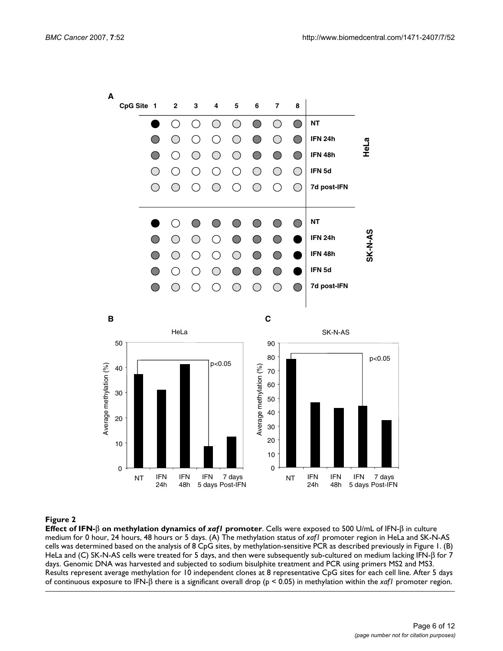

#### **Figure 2**

**Effect of IFN-**β **on methylation dynamics of** *xaf1* **promoter**. Cells were exposed to 500 U/mL of IFN-β in culture medium for 0 hour, 24 hours, 48 hours or 5 days. (A) The methylation status of *xaf1* promoter region in HeLa and SK-N-AS cells was determined based on the analysis of 8 CpG sites, by methylation-sensitive PCR as described previously in Figure 1. (B) HeLa and (C) SK-N-AS cells were treated for 5 days, and then were subsequently sub-cultured on medium lacking IFN-β for 7 days. Genomic DNA was harvested and subjected to sodium bisulphite treatment and PCR using primers MS2 and MS3. Results represent average methylation for 10 independent clones at 8 representative CpG sites for each cell line. After 5 days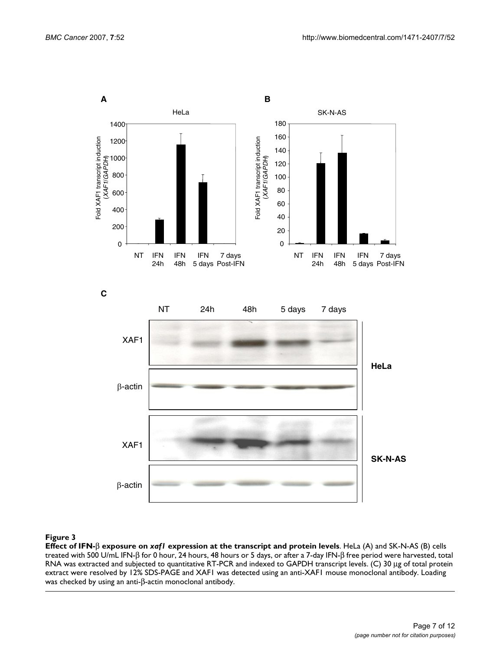

#### Figure 3

**Effect of IFN-**β **exposure on** *xaf1* **expression at the transcript and protein levels**. HeLa (A) and SK-N-AS (B) cells treated with 500 U/mL IFN-β for 0 hour, 24 hours, 48 hours or 5 days, or after a 7-day IFN-β free period were harvested, total RNA was extracted and subjected to quantitative RT-PCR and indexed to GAPDH transcript levels. (C) 30 μg of total protein extract were resolved by 12% SDS-PAGE and XAF1 was detected using an anti-XAF1 mouse monoclonal antibody. Loading was checked by using an anti-β-actin monoclonal antibody.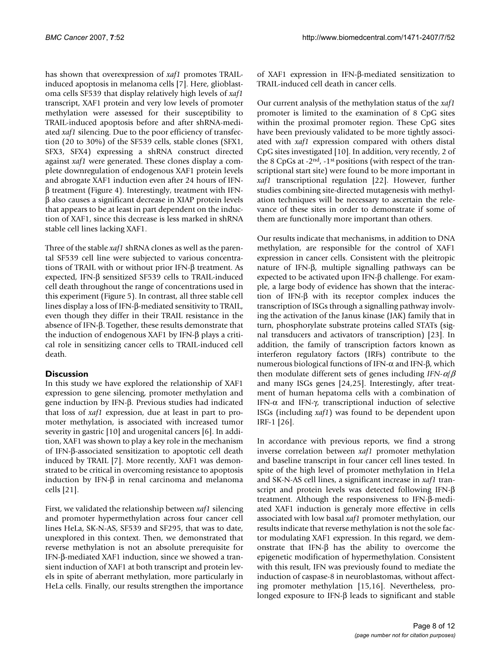has shown that overexpression of *xaf1* promotes TRAILinduced apoptosis in melanoma cells [7]. Here, glioblastoma cells SF539 that display relatively high levels of *xaf1* transcript, XAF1 protein and very low levels of promoter methylation were assessed for their susceptibility to TRAIL-induced apoptosis before and after shRNA-mediated *xaf1* silencing. Due to the poor efficiency of transfection (20 to 30%) of the SF539 cells, stable clones (SFX1, SFX3, SFX4) expressing a shRNA construct directed against *xaf1* were generated. These clones display a complete downregulation of endogenous XAF1 protein levels and abrogate XAF1 induction even after 24 hours of IFNβ treatment (Figure 4). Interestingly, treatment with IFNβ also causes a significant decrease in XIAP protein levels that appears to be at least in part dependent on the induction of XAF1, since this decrease is less marked in shRNA stable cell lines lacking XAF1.

Three of the stable *xaf1* shRNA clones as well as the parental SF539 cell line were subjected to various concentrations of TRAIL with or without prior IFN-β treatment. As expected, IFN-β sensitized SF539 cells to TRAIL-induced cell death throughout the range of concentrations used in this experiment (Figure 5). In contrast, all three stable cell lines display a loss of IFN-β-mediated sensitivity to TRAIL, even though they differ in their TRAIL resistance in the absence of IFN-β. Together, these results demonstrate that the induction of endogenous XAF1 by IFN-β plays a critical role in sensitizing cancer cells to TRAIL-induced cell death.

## **Discussion**

In this study we have explored the relationship of XAF1 expression to gene silencing, promoter methylation and gene induction by IFN-β. Previous studies had indicated that loss of *xaf1* expression, due at least in part to promoter methylation, is associated with increased tumor severity in gastric [10] and urogenital cancers [6]. In addition, XAF1 was shown to play a key role in the mechanism of IFN-β-associated sensitization to apoptotic cell death induced by TRAIL [7]. More recently, XAF1 was demonstrated to be critical in overcoming resistance to apoptosis induction by IFN-β in renal carcinoma and melanoma cells [21].

First, we validated the relationship between *xaf1* silencing and promoter hypermethylation across four cancer cell lines HeLa, SK-N-AS, SF539 and SF295, that was to date, unexplored in this context. Then, we demonstrated that reverse methylation is not an absolute prerequisite for IFN-β-mediated XAF1 induction, since we showed a transient induction of XAF1 at both transcript and protein levels in spite of aberrant methylation, more particularly in HeLa cells. Finally, our results strengthen the importance of XAF1 expression in IFN-β-mediated sensitization to TRAIL-induced cell death in cancer cells.

Our current analysis of the methylation status of the *xaf1* promoter is limited to the examination of 8 CpG sites within the proximal promoter region. These CpG sites have been previously validated to be more tightly associated with *xaf1* expression compared with others distal CpG sites investigated [10]. In addition, very recently, 2 of the 8 CpGs at -2nd, -1st positions (with respect of the transcriptional start site) were found to be more important in *xaf1* transcriptional regulation [22]. However, further studies combining site-directed mutagenesis with methylation techniques will be necessary to ascertain the relevance of these sites in order to demonstrate if some of them are functionally more important than others.

Our results indicate that mechanisms, in addition to DNA methylation, are responsible for the control of XAF1 expression in cancer cells. Consistent with the pleitropic nature of IFN-β, multiple signalling pathways can be expected to be activated upon IFN-β challenge. For example, a large body of evidence has shown that the interaction of IFN-β with its receptor complex induces the transcription of ISGs through a signalling pathway involving the activation of the Janus kinase (JAK) family that in turn, phosphorylate substrate proteins called STATs (signal transducers and activators of transcription) [23]. In addition, the family of transcription factors known as interferon regulatory factors (IRFs) contribute to the numerous biological functions of IFN- $\alpha$  and IFN- $\beta$ , which then modulate different sets of genes including *IFN-*α/β and many ISGs genes [24,25]. Interestingly, after treatment of human hepatoma cells with a combination of IFN-α and IFN-γ, transcriptional induction of selective ISGs (including *xaf1*) was found to be dependent upon IRF-1 [26].

In accordance with previous reports, we find a strong inverse correlation between *xaf1* promoter methylation and baseline transcript in four cancer cell lines tested. In spite of the high level of promoter methylation in HeLa and SK-N-AS cell lines, a significant increase in *xaf1* transcript and protein levels was detected following IFN-β treatment. Although the responsiveness to IFN-β-mediated XAF1 induction is generaly more effective in cells associated with low basal *xaf1* promoter methylation, our results indicate that reverse methylation is not the sole factor modulating XAF1 expression. In this regard, we demonstrate that IFN-β has the ability to overcome the epigenetic modification of hypermethylation. Consistent with this result, IFN was previously found to mediate the induction of caspase-8 in neuroblastomas, without affecting promoter methylation [15,16]. Nevertheless, prolonged exposure to IFN-β leads to significant and stable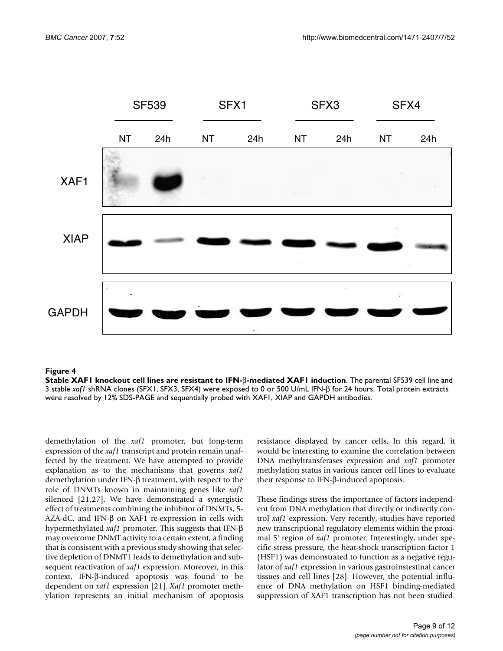

#### $\blacksquare$ Figure 4  $\blacksquare$

**Stable XAF1 knockout cell lines are resistant to IFN-**β**-mediated XAF1 induction**. The parental SF539 cell line and 3 stable *xaf1* shRNA clones (SFX1, SFX3, SFX4) were exposed to 0 or 500 U/mL IFN-β for 24 hours. Total protein extracts were resolved by 12% SDS-PAGE and sequentially probed with XAF1, XIAP and GAPDH antibodies.

demethylation of the *xaf1* promoter, but long-term expression of the *xaf1* transcript and protein remain unaffected by the treatment. We have attempted to provide explanation as to the mechanisms that governs *xaf1* demethylation under IFN-β treatment, with respect to the role of DNMTs known in maintaining genes like *xaf1* silenced [21,27]. We have demonstrated a synergistic effect of treatments combining the inhibitor of DNMTs, 5- AZA-dC, and IFN-β on XAF1 re-expression in cells with hypermethylated *xaf1* promoter. This suggests that IFN-β may overcome DNMT activity to a certain extent, a finding that is consistent with a previous study showing that selective depletion of DNMT1 leads to demethylation and subsequent reactivation of *xaf1* expression. Moreover, in this context, IFN-β-induced apoptosis was found to be dependent on *xaf1* expression [21]. *Xaf1* promoter methylation represents an initial mechanism of apoptosis resistance displayed by cancer cells. In this regard, it would be interesting to examine the correlation between DNA methyltransferases expression and *xaf1* promoter methylation status in various cancer cell lines to evaluate their response to IFN-β-induced apoptosis.

These findings stress the importance of factors independent from DNA methylation that directly or indirectly control *xaf1* expression. Very recently, studies have reported new transcriptional regulatory elements within the proximal 5' region of *xaf1* promoter. Interestingly, under specific stress pressure, the heat-shock transcription factor 1 (HSF1) was demonstrated to function as a negative regulator of *xaf1* expression in various gastroinstestinal cancer tissues and cell lines [28]. However, the potential influence of DNA methylation on HSF1 binding-mediated suppression of XAF1 transcription has not been studied.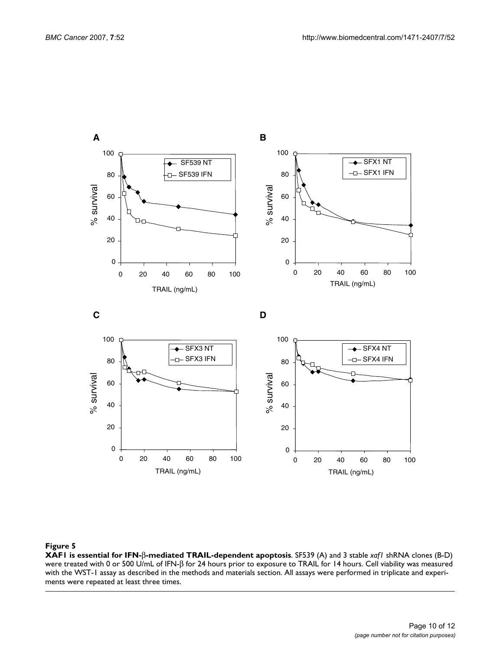

#### Figure 5

**XAF1 is essential for IFN-**β**-mediated TRAIL-dependent apoptosis**. SF539 (A) and 3 stable *xaf1* shRNA clones (B-D) were treated with 0 or 500 U/mL of IFN-β for 24 hours prior to exposure to TRAIL for 14 hours. Cell viability was measured with the WST-1 assay as described in the methods and materials section. All assays were performed in triplicate and experiments were repeated at least three times.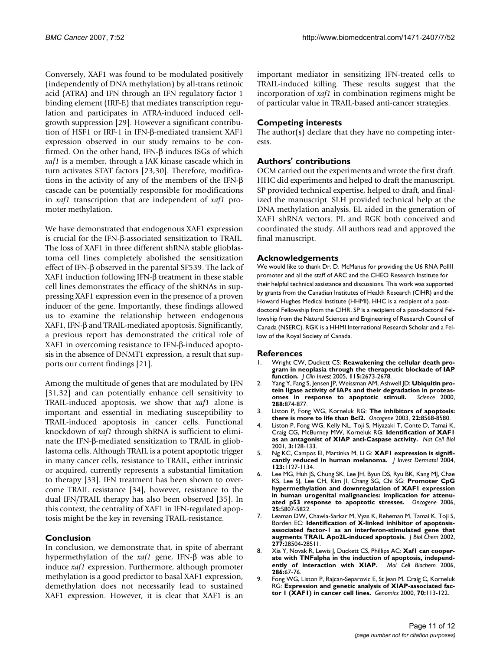Conversely, XAF1 was found to be modulated positively (independently of DNA methylation) by all-trans retinoic acid (ATRA) and IFN through an IFN regulatory factor 1 binding element (IRF-E) that mediates transcription regulation and participates in ATRA-induced induced cellgrowth suppression [29]. However a significant contribution of HSF1 or IRF-1 in IFN-β-mediated transient XAF1 expression observed in our study remains to be confirmed. On the other hand, IFN-β induces ISGs of which *xaf1* is a member, through a JAK kinase cascade which in turn activates STAT factors [23,30]. Therefore, modifications in the activity of any of the members of the IFN-β cascade can be potentially responsible for modifications in *xaf1* transcription that are independent of *xaf1* promoter methylation.

We have demonstrated that endogenous XAF1 expression is crucial for the IFN-β-associated sensitization to TRAIL. The loss of XAF1 in three different shRNA stable glioblastoma cell lines completely abolished the sensitization effect of IFN-β observed in the parental SF539. The lack of XAF1 induction following IFN-β treatment in these stable cell lines demonstrates the efficacy of the shRNAs in suppressing XAF1 expression even in the presence of a proven inducer of the gene. Importantly, these findings allowed us to examine the relationship between endogenous XAF1, IFN-β and TRAIL-mediated apoptosis. Significantly, a previous report has demonstrated the critical role of XAF1 in overcoming resistance to IFN-β-induced apoptosis in the absence of DNMT1 expression, a result that supports our current findings [21].

Among the multitude of genes that are modulated by IFN [31,32] and can potentially enhance cell sensitivity to TRAIL-induced apoptosis, we show that *xaf1* alone is important and essential in mediating susceptibility to TRAIL-induced apoptosis in cancer cells. Functional knockdown of *xaf1* through shRNA is sufficient to eliminate the IFN-β-mediated sensitization to TRAIL in glioblastoma cells. Although TRAIL is a potent apoptotic trigger in many cancer cells, resistance to TRAIL, either intrinsic or acquired, currently represents a substantial limitation to therapy [33]. IFN treatment has been shown to overcome TRAIL resistance [34], however, resistance to the dual IFN/TRAIL therapy has also been observed [35]. In this context, the centrality of XAF1 in IFN-regulated apoptosis might be the key in reversing TRAIL-resistance.

## **Conclusion**

In conclusion, we demonstrate that, in spite of aberrant hypermethylation of the *xaf1* gene, IFN-β was able to induce *xaf1* expression. Furthermore, although promoter methylation is a good predictor to basal XAF1 expression, demethylation does not necessarily lead to sustained XAF1 expression. However, it is clear that XAF1 is an important mediator in sensitizing IFN-treated cells to TRAIL-induced killing. These results suggest that the incorporation of *xaf1* in combination regimens might be of particular value in TRAIL-based anti-cancer strategies.

### **Competing interests**

The author( $\overline{s}$ ) declare that they have no competing interests.

#### **Authors' contributions**

OCM carried out the experiments and wrote the first draft. HHC did experiments and helped to draft the manuscript. SP provided technical expertise, helped to draft, and finalized the manuscript. SLH provided technical help at the DNA methylation analysis. EL aided in the generation of XAF1 shRNA vectors. PL and RGK both conceived and coordinated the study. All authors read and approved the final manuscript.

#### **Acknowledgements**

We would like to thank Dr. D. McManus for providing the U6 RNA Pollll promoter and all the staff of ARC and the CHEO Research Institute for their helpful technical assistance and discussions. This work was supported by grants from the Canadian Institutes of Health Research (CIHR) and the Howard Hughes Medical Institute (HHMI). HHC is a recipient of a postdoctoral Fellowship from the CIHR. SP is a recipient of a post-doctoral Fellowship from the Natural Sciences and Engineering of Research Council of Canada (NSERC). RGK is a HHMI International Research Scholar and a Fellow of the Royal Society of Canada.

#### **References**

- 1. Wright CW, Duckett CS: **[Reawakening the cellular death pro](http://www.ncbi.nlm.nih.gov/entrez/query.fcgi?cmd=Retrieve&db=PubMed&dopt=Abstract&list_uids=16200201)[gram in neoplasia through the therapeutic blockade of IAP](http://www.ncbi.nlm.nih.gov/entrez/query.fcgi?cmd=Retrieve&db=PubMed&dopt=Abstract&list_uids=16200201) [function.](http://www.ncbi.nlm.nih.gov/entrez/query.fcgi?cmd=Retrieve&db=PubMed&dopt=Abstract&list_uids=16200201)** *J Clin Invest* 2005, **115:**2673-2678.
- 2. Yang Y, Fang S, Jensen JP, Weissman AM, Ashwell JD: **[Ubiquitin pro](http://www.ncbi.nlm.nih.gov/entrez/query.fcgi?cmd=Retrieve&db=PubMed&dopt=Abstract&list_uids=10797013)[tein ligase activity of IAPs and their degradation in proteas](http://www.ncbi.nlm.nih.gov/entrez/query.fcgi?cmd=Retrieve&db=PubMed&dopt=Abstract&list_uids=10797013)[omes in response to apoptotic stimuli.](http://www.ncbi.nlm.nih.gov/entrez/query.fcgi?cmd=Retrieve&db=PubMed&dopt=Abstract&list_uids=10797013)** *Science* 2000, **288:**874-877.
- 3. Liston P, Fong WG, Korneluk RG: **[The inhibitors of apoptosis:](http://www.ncbi.nlm.nih.gov/entrez/query.fcgi?cmd=Retrieve&db=PubMed&dopt=Abstract&list_uids=14634619) [there is more to life than Bcl2.](http://www.ncbi.nlm.nih.gov/entrez/query.fcgi?cmd=Retrieve&db=PubMed&dopt=Abstract&list_uids=14634619)** *Oncogene* 2003, **22:**8568-8580.
- 4. Liston P, Fong WG, Kelly NL, Toji S, Miyazaki T, Conte D, Tamai K, Craig CG, McBurney MW, Korneluk RG: **[Identification of XAF1](http://www.ncbi.nlm.nih.gov/entrez/query.fcgi?cmd=Retrieve&db=PubMed&dopt=Abstract&list_uids=11175744) [as an antagonist of XIAP anti-Caspase activity.](http://www.ncbi.nlm.nih.gov/entrez/query.fcgi?cmd=Retrieve&db=PubMed&dopt=Abstract&list_uids=11175744)** *Nat Cell Biol* 2001, **3:**128-133.
- 5. Ng KC, Campos EI, Martinka M, Li G: **[XAF1 expression is signifi](http://www.ncbi.nlm.nih.gov/entrez/query.fcgi?cmd=Retrieve&db=PubMed&dopt=Abstract&list_uids=15610524)[cantly reduced in human melanoma.](http://www.ncbi.nlm.nih.gov/entrez/query.fcgi?cmd=Retrieve&db=PubMed&dopt=Abstract&list_uids=15610524)** *J Invest Dermatol* 2004, **123:**1127-1134.
- 6. Lee MG, Huh JS, Chung SK, Lee JH, Byun DS, Ryu BK, Kang MJ, Chae KS, Lee SJ, Lee CH, Kim JI, Chang SG, Chi SG: **[Promoter CpG](http://www.ncbi.nlm.nih.gov/entrez/query.fcgi?cmd=Retrieve&db=PubMed&dopt=Abstract&list_uids=16909101) [hypermethylation and downregulation of XAF1 expression](http://www.ncbi.nlm.nih.gov/entrez/query.fcgi?cmd=Retrieve&db=PubMed&dopt=Abstract&list_uids=16909101) in human urogenital malignancies: implication for attenu[ated p53 response to apoptotic stresses.](http://www.ncbi.nlm.nih.gov/entrez/query.fcgi?cmd=Retrieve&db=PubMed&dopt=Abstract&list_uids=16909101)** *Oncogene* 2006, **25:**5807-5822.
- 7. Leaman DW, Chawla-Sarkar M, Vyas K, Reheman M, Tamai K, Toji S, Borden EC: **[Identification of X-linked inhibitor of apoptosis](http://www.ncbi.nlm.nih.gov/entrez/query.fcgi?cmd=Retrieve&db=PubMed&dopt=Abstract&list_uids=12029096)[associated factor-1 as an interferon-stimulated gene that](http://www.ncbi.nlm.nih.gov/entrez/query.fcgi?cmd=Retrieve&db=PubMed&dopt=Abstract&list_uids=12029096) [augments TRAIL Apo2L-induced apoptosis.](http://www.ncbi.nlm.nih.gov/entrez/query.fcgi?cmd=Retrieve&db=PubMed&dopt=Abstract&list_uids=12029096)** *J Biol Chem* 2002, **277:**28504-28511.
- 8. Xia Y, Novak R, Lewis J, Duckett CS, Phillips AC: **[Xaf1 can cooper](http://www.ncbi.nlm.nih.gov/entrez/query.fcgi?cmd=Retrieve&db=PubMed&dopt=Abstract&list_uids=16432762)[ate with TNFalpha in the induction of apoptosis, independ](http://www.ncbi.nlm.nih.gov/entrez/query.fcgi?cmd=Retrieve&db=PubMed&dopt=Abstract&list_uids=16432762)[ently of interaction with XIAP.](http://www.ncbi.nlm.nih.gov/entrez/query.fcgi?cmd=Retrieve&db=PubMed&dopt=Abstract&list_uids=16432762)** *Mol Cell Biochem* 2006, **286:**67-76.
- 9. Fong WG, Liston P, Rajcan-Separovic E, St Jean M, Craig C, Korneluk RG: **[Expression and genetic analysis of XIAP-associated fac](http://www.ncbi.nlm.nih.gov/entrez/query.fcgi?cmd=Retrieve&db=PubMed&dopt=Abstract&list_uids=11087668)[tor 1 \(XAF1\) in cancer cell lines.](http://www.ncbi.nlm.nih.gov/entrez/query.fcgi?cmd=Retrieve&db=PubMed&dopt=Abstract&list_uids=11087668)** *Genomics* 2000, **70:**113-122.